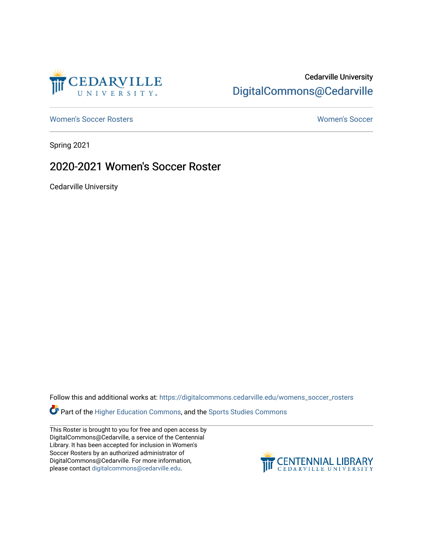

# Cedarville University [DigitalCommons@Cedarville](https://digitalcommons.cedarville.edu/)

[Women's Soccer Rosters](https://digitalcommons.cedarville.edu/womens_soccer_rosters) [Women's Soccer](https://digitalcommons.cedarville.edu/womens_soccer) 

Spring 2021

## 2020-2021 Women's Soccer Roster

Cedarville University

Follow this and additional works at: [https://digitalcommons.cedarville.edu/womens\\_soccer\\_rosters](https://digitalcommons.cedarville.edu/womens_soccer_rosters?utm_source=digitalcommons.cedarville.edu%2Fwomens_soccer_rosters%2F75&utm_medium=PDF&utm_campaign=PDFCoverPages) 

Part of the [Higher Education Commons,](http://network.bepress.com/hgg/discipline/1245?utm_source=digitalcommons.cedarville.edu%2Fwomens_soccer_rosters%2F75&utm_medium=PDF&utm_campaign=PDFCoverPages) and the [Sports Studies Commons](http://network.bepress.com/hgg/discipline/1198?utm_source=digitalcommons.cedarville.edu%2Fwomens_soccer_rosters%2F75&utm_medium=PDF&utm_campaign=PDFCoverPages) 

This Roster is brought to you for free and open access by DigitalCommons@Cedarville, a service of the Centennial Library. It has been accepted for inclusion in Women's Soccer Rosters by an authorized administrator of DigitalCommons@Cedarville. For more information, please contact [digitalcommons@cedarville.edu](mailto:digitalcommons@cedarville.edu).

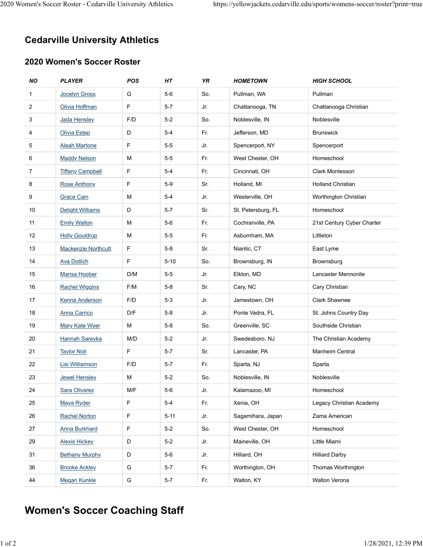# Cedarville University Athletics 2020 Women's Soccer Roster - Cedarville University Athletics https://yellowjackets.cedarville.edu/sports/womens-soccer/roster?print=true<br> **Cedarville University Athletics**

### 2020 Women's Soccer Roster

|                            | omen's Soccer Roster - Cedarville University Athletics |           |                |            |                                                                             |                                          |  |  |
|----------------------------|--------------------------------------------------------|-----------|----------------|------------|-----------------------------------------------------------------------------|------------------------------------------|--|--|
|                            |                                                        |           |                |            | https://yellowjackets.cedarville.edu/sports/womens-soccer/roster?print=true |                                          |  |  |
|                            |                                                        |           |                |            |                                                                             |                                          |  |  |
|                            |                                                        |           |                |            |                                                                             |                                          |  |  |
|                            | <b>Cedarville University Athletics</b>                 |           |                |            |                                                                             |                                          |  |  |
| 2020 Women's Soccer Roster |                                                        |           |                |            |                                                                             |                                          |  |  |
|                            |                                                        |           |                |            |                                                                             |                                          |  |  |
| <b>NO</b>                  | <b>PLAYER</b>                                          | POS       | HT             | YR         | <b>HOMETOWN</b>                                                             | <b>HIGH SCHOOL</b>                       |  |  |
| $\mathbf{1}$               | <b>Jocelyn Gross</b>                                   | G         | $5-6$          | So.        | Pullman, WA                                                                 | Pullman                                  |  |  |
| $\overline{2}$             | Olivia Hoffman                                         | F         | $5-7$          | Jr.        | Chattanooga, TN                                                             | Chattanooga Christian                    |  |  |
| 3                          | Jada Hensley                                           | F/D       | $5-2$          | So.        | Noblesville, IN                                                             | Noblesville                              |  |  |
| 4                          | <b>Olivia Estep</b>                                    | D         | $5-4$          | Fr.        | Jefferson, MD                                                               | <b>Brunswick</b>                         |  |  |
| 5                          | <b>Aleah Martone</b>                                   | F         | $5-5$          | Jr.        | Spencerport, NY                                                             | Spencerport                              |  |  |
| 6                          | <b>Maddy Nelson</b>                                    | M         | $5-5$          | Fr.        | West Chester, OH                                                            | Homeschool                               |  |  |
| $\overline{7}$             | <b>Tiffany Campbell</b>                                | F         | $5-4$          | Fr.        | Cincinnati, OH                                                              | Clark Montessori                         |  |  |
| 8                          | <b>Rose Anthony</b>                                    | F         | $5-9$          | Sr.        | Holland, MI                                                                 | <b>Holland Christian</b>                 |  |  |
| 9                          | <b>Grace Cain</b>                                      | М         | $5-4$          | Jr.        | Westerville, OH                                                             | Worthington Christian                    |  |  |
| 10                         | Delight Williams                                       | D         | $5-7$          | Sr.        | St. Petersburg, FL                                                          | Homeschool                               |  |  |
| 11                         | <b>Emily Walton</b>                                    | M<br>M    | $5-6$<br>$5-5$ | Fr.<br>Fr. | Cochranville, PA                                                            | 21st Century Cyber Charter               |  |  |
| 12                         | <b>Holly Gouldrup</b>                                  |           |                |            | Asburnham, MA                                                               | Littleton                                |  |  |
| 13                         | <b>Mackenzie Northcutt</b>                             | F.        | $5-8$          | Sr.        | Niantic, CT                                                                 | East Lyme                                |  |  |
| 14                         | <b>Ava Dotlich</b>                                     | F.        | $5 - 10$       | So.        | Brownsburg, IN                                                              | Brownsburg                               |  |  |
| 15                         | <b>Marisa Hoober</b>                                   | D/M       | $5-5$<br>$5-8$ | Jr.        | Elkton, MD<br>Cary, NC                                                      | Lancaster Mennonite                      |  |  |
| $16\,$                     | <b>Rachel Wiggins</b>                                  | F/M       |                | Sr.        |                                                                             | Cary Christian                           |  |  |
| 17                         | <b>Kenna Anderson</b>                                  | F/D       | $5-3$          | Jr.        | Jamestown, OH                                                               | <b>Clark Shawnee</b>                     |  |  |
| $18$                       | <b>Anna Carrico</b>                                    | D/F       | $5-8$          | Jr.        | Ponte Vedra, FL                                                             | St. Johns Country Day                    |  |  |
| 19                         | <b>Mary Kate Wyer</b>                                  | M         | $5-8$          | So.        | Greenville, SC                                                              | Southside Christian                      |  |  |
| 20<br>21                   | <b>Hannah Sareyka</b>                                  | M/D<br>F. | $5-2$<br>$5-7$ | Jr.<br>Sr. | Swedesboro, NJ<br>Lancaster, PA                                             | The Christian Academy<br>Manheim Central |  |  |
| 22                         | <b>Taylor Noll</b><br>Lisi Williamson                  | F/D       | $5 - 7$        | Fr.        | Sparta, NJ                                                                  | Sparta                                   |  |  |
| 23                         | <b>Jewel Hensley</b>                                   | M         | $5-2$          | So.        | Noblesville, IN                                                             | Noblesville                              |  |  |
| 24                         | Sara Olivarez                                          | M/F       | $5-6$          | Jr.        | Kalamazoo, MI                                                               | Homeschool                               |  |  |
| 25                         | Maya Ryder                                             | F         | $5-4$          | Fr.        | Xenia, OH                                                                   | Legacy Christian Academy                 |  |  |
| 26                         | <b>Rachel Norton</b>                                   | F         | $5 - 11$       | Jr.        | Sagamihara, Japan                                                           | Zama American                            |  |  |
| 27                         | <b>Anna Burkhard</b>                                   | F         | $5-2$          | So.        | West Chester, OH                                                            | Homeschool                               |  |  |
| 29                         | <b>Alexis Hickey</b>                                   | D         | $5-2$          | Jr.        | Maineville, OH                                                              | Little Miami                             |  |  |
| 31                         | <b>Bethany Murphy</b>                                  | D         | $5-6$          | Jr.        | Hilliard, OH                                                                | <b>Hilliard Darby</b>                    |  |  |
| 36                         | <b>Brooke Ackley</b>                                   | G         | $5-7$          | Fr.        | Worthington, OH                                                             | Thomas Worthington                       |  |  |
| 44                         | Megan Kunkle                                           | G         | $5-7$          | Fr.        | Walton, KY                                                                  | Walton Verona                            |  |  |

# Women's Soccer Coaching Staff